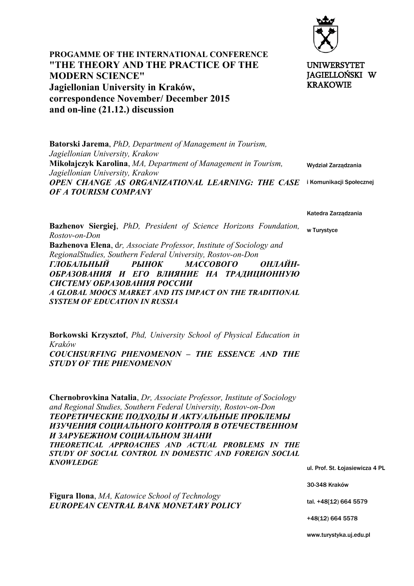

**PROGAMME OF THE INTERNATIONAL CONFERENCE "THE THEORY AND THE PRACTICE OF THE MODERN SCIENCE" Jagiellonian University in Kraków, correspondence November/ December 2015 and on-line (21.12.) discussion** 

UNIWERSYTET JAGIELLOŃSKI W KRAKOWIE

Wydział Zarządzania OPEN CHANGE AS ORGANIZATIONAL LEARNING: THE CASE i Komunikacji Społecznej **Batorski Jarema**, *PhD, Department of Management in Tourism, Jagiellonian University, Krakow* **Mikołajczyk Karolina**, *MA, Department of Management in Tourism, Jagiellonian University, Krakow OF A TOURISM COMPANY*

Katedra Zarządzania

w Turystyce

**Bazhenov Siergiej**, *PhD, President of Science Horizons Foundation, Rostov-on-Don* **Bazhenova Elena**, d*r, Associate Professor, Institute of Sociology and RegionalStudies, Southern Federal University, Rostov-on-Don ГЛОБАЛЬНЫЙ РЫНОК МАССОВОГО ОНЛАЙН-ОБРАЗОВАНИЯ И ЕГО ВЛИЯНИЕ НА ТРАДИЦИОННУЮ СИСТЕМУ ОБРАЗОВАНИЯ PОССИИ A GLOBAL MOOCS MARKET AND ITS IMPACT ON THE TRADITIONAL SYSTEM OF EDUCATION IN RUSSIA*

**Borkowski Krzysztof**, *Phd, University School of Physical Education in Kraków COUCHSURFING PHENOMENON – THE ESSENCE AND THE STUDY OF THE PHENOMENON*

**Chernobrovkina Natalia**, *Dr, Associate Professor, Institute of Sociology and Regional Studies, Southern Federal University, Rostov-on-Don ТЕОРЕТИЧЕСКИЕ ПОДХОДЫ И АКТУАЛЬНЫЕ ПРОБЛЕМЫ ИЗУЧЕНИЯ СОЦИАЛЬНОГО КОНТРОЛЯ В ОТЕЧЕСТВЕННОМ И ЗАРУБЕЖНОМ СОЦИАЛЬНОМ ЗНАНИ THEORETICAL APPROACHES AND ACTUAL PROBLEMS IN THE STUDY OF SOCIAL CONTROL IN DOMESTIC AND FOREIGN SOCIAL KNOWLEDGE*

**Figura Ilona**, *MA, Katowice School of Technology EUROPEAN CENTRAL BANK MONETARY POLICY* ul. Prof. St. Łojasiewicza 4 PL

30-348 Kraków

tal. +48[12) 664 5579

+48(12) 664 5578

www.turystyka.uj.edu.pl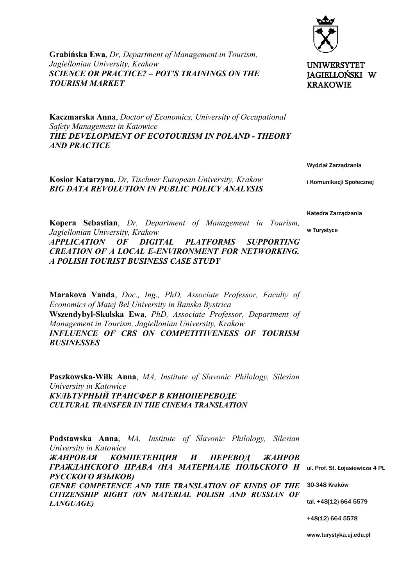**Grabińska Ewa**, *Dr, Department of Management in Tourism, Jagiellonian University, Krakow SCIENCE OR PRACTICE? – POT'S TRAININGS ON THE TOURISM MARKET*

**Kaczmarska Anna**, *Doctor of Economics, University of Occupational Safety Management in Katowice THE DEVELOPMENT OF ECOTOURISM IN POLAND - THEORY AND PRACTICE*



*Jagiellonian University, Krakow APPLICATION OF DIGITAL PLATFORMS SUPPORTING CREATION OF A LOCAL E-ENVIRONMENT FOR NETWORKING. A POLISH TOURIST BUSINESS CASE STUDY*

**Kopera Sebastian**, *Dr, Department of Management in Tourism,*

**Marakova Vanda**, *Doc., Ing., PhD, Associate Professor, Faculty of Economics of Matej Bel University in Banska Bystrica*  **Wszendybyl-Skulska Ewa**, *PhD, Associate Professor, Department of Management in Tourism, Jagiellonian University, Krakow INFLUENCE OF CRS ON COMPETITIVENESS OF TOURISM BUSINESSES*

**Paszkowska-Wilk Anna**, *MA, Institute of Slavonic Philology, Silesian University in Katowice КУЛЬТУРНЫЙ ТРАНСФЕР В КИНОПЕРЕВОДЕ CULTURAL TRANSFER IN THE CINEMA TRANSLATION*

ГРАЖДАНСКОГО ПРАВА (НА МАТЕРИАЛЕ ПОЛЬСКОГО И ul. Prof. St. Łojasiewicza 4 PL GENRE COMPETENCE AND THE TRANSLATION OF KINDS OF THE 30-348 Kraków tal. +48[12) 664 5579 **Podstawska Anna**, *MA, Institute of Slavonic Philology, Silesian University in Katowice ЖАНРОВАЯ КОМПЕТЕНЦИЯ И ПЕРЕВОД ЖАНРОВ РУССКОГО ЯЗЫКОВ) CITIZENSHIP RIGHT (ON MATERIAL POLISH AND RUSSIAN OF LANGUAGE)*

+48(12) 664 5578

www.turystyka.uj.edu.pl



UNIWERSYTET JAGIELLOŃSKI W KRAKOWIE

Wydział Zarządzania

i Komunikacji Społecznej

Katedra Zarządzania

w Turystyce